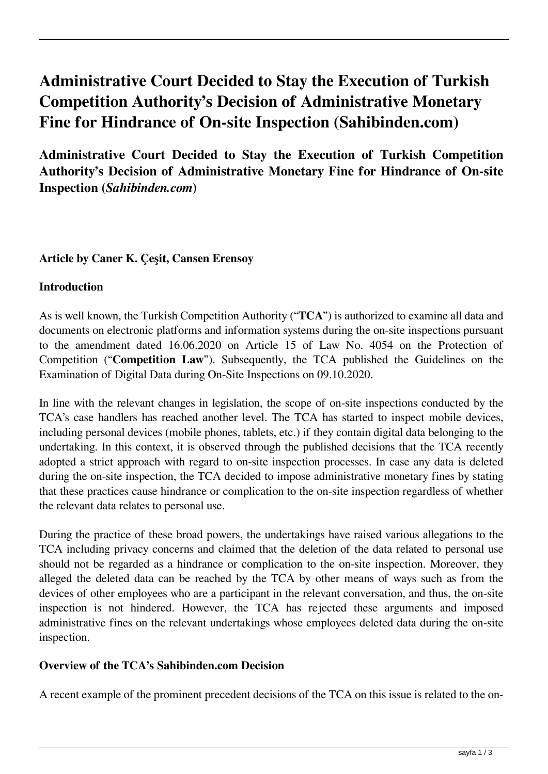# **Administrative Court Decided to Stay the Execution of Turkish Competition Authority's Decision of Administrative Monetary Fine for Hindrance of On-site Inspection (Sahibinden.com)**

**Administrative Court Decided to Stay the Execution of Turkish Competition Authority's Decision of Administrative Monetary Fine for Hindrance of On-site Inspection (***Sahibinden.com***)**

# **Article by Caner K. Çeşit, Cansen Erensoy**

# **Introduction**

As is well known, the Turkish Competition Authority ("**TCA**") is authorized to examine all data and documents on electronic platforms and information systems during the on-site inspections pursuant to the amendment dated 16.06.2020 on Article 15 of Law No. 4054 on the Protection of Competition ("**Competition Law**"). Subsequently, the TCA published the Guidelines on the Examination of Digital Data during On-Site Inspections on 09.10.2020.

In line with the relevant changes in legislation, the scope of on-site inspections conducted by the TCA's case handlers has reached another level. The TCA has started to inspect mobile devices, including personal devices (mobile phones, tablets, etc.) if they contain digital data belonging to the undertaking. In this context, it is observed through the published decisions that the TCA recently adopted a strict approach with regard to on-site inspection processes. In case any data is deleted during the on-site inspection, the TCA decided to impose administrative monetary fines by stating that these practices cause hindrance or complication to the on-site inspection regardless of whether the relevant data relates to personal use.

During the practice of these broad powers, the undertakings have raised various allegations to the TCA including privacy concerns and claimed that the deletion of the data related to personal use should not be regarded as a hindrance or complication to the on-site inspection. Moreover, they alleged the deleted data can be reached by the TCA by other means of ways such as from the devices of other employees who are a participant in the relevant conversation, and thus, the on-site inspection is not hindered. However, the TCA has rejected these arguments and imposed administrative fines on the relevant undertakings whose employees deleted data during the on-site inspection.

#### **Overview of the TCA's Sahibinden.com Decision**

A recent example of the prominent precedent decisions of the TCA on this issue is related to the on-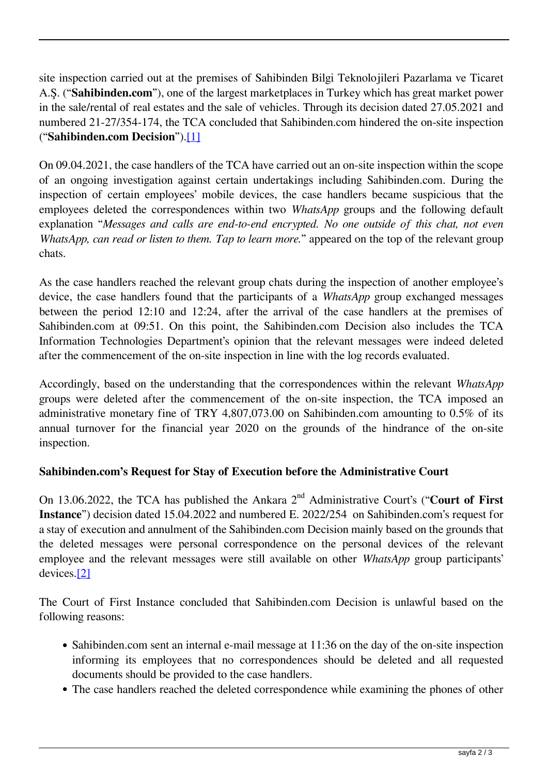site inspection carried out at the premises of Sahibinden Bilgi Teknolojileri Pazarlama ve Ticaret A.Ş. ("**Sahibinden.com**"), one of the largest marketplaces in Turkey which has great market power in the sale/rental of real estates and the sale of vehicles. Through its decision dated 27.05.2021 and numbered 21-27/354-174, the TCA concluded that Sahibinden.com hindered the on-site inspection ("**Sahibinden.com Decision**").[1]

On 09.04.2021, the case handlers of the TCA have carried out an on-site inspection within the scope of an ongoing investigation against certain undertakings including Sahibinden.com. During the inspection of certain employees' mobile devices, the case handlers became suspicious that the employees deleted the correspondences within two *WhatsApp* groups and the following default explanation "*Messages and calls are end-to-end encrypted. No one outside of this chat, not even WhatsApp, can read or listen to them. Tap to learn more.*" appeared on the top of the relevant group chats.

As the case handlers reached the relevant group chats during the inspection of another employee's device, the case handlers found that the participants of a *WhatsApp* group exchanged messages between the period 12:10 and 12:24, after the arrival of the case handlers at the premises of Sahibinden.com at 09:51. On this point, the Sahibinden.com Decision also includes the TCA Information Technologies Department's opinion that the relevant messages were indeed deleted after the commencement of the on-site inspection in line with the log records evaluated.

Accordingly, based on the understanding that the correspondences within the relevant *WhatsApp* groups were deleted after the commencement of the on-site inspection, the TCA imposed an administrative monetary fine of TRY 4,807,073.00 on Sahibinden.com amounting to 0.5% of its annual turnover for the financial year 2020 on the grounds of the hindrance of the on-site inspection.

# **Sahibinden.com's Request for Stay of Execution before the Administrative Court**

On 13.06.2022, the TCA has published the Ankara 2nd Administrative Court's ("**Court of First Instance**") decision dated 15.04.2022 and numbered E. 2022/254 on Sahibinden.com's request for a stay of execution and annulment of the Sahibinden.com Decision mainly based on the grounds that the deleted messages were personal correspondence on the personal devices of the relevant employee and the relevant messages were still available on other *WhatsApp* group participants' devices.[2]

The Court of First Instance concluded that Sahibinden.com Decision is unlawful based on the following reasons:

- Sahibinden.com sent an internal e-mail message at 11:36 on the day of the on-site inspection informing its employees that no correspondences should be deleted and all requested documents should be provided to the case handlers.
- The case handlers reached the deleted correspondence while examining the phones of other